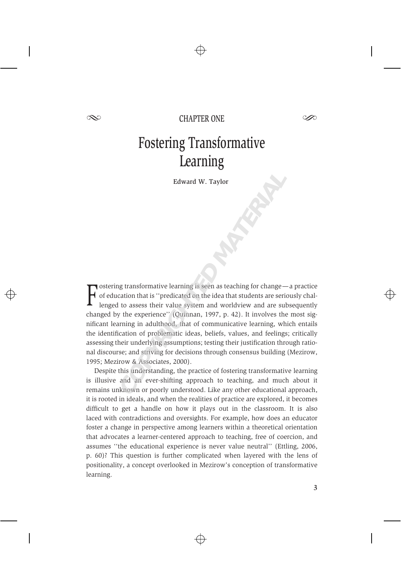$\infty$ 

# CHAPTER ONE  $\infty$

# Fostering Transformative Learning

Edward W. Taylor

Fostering transformative learning is seen as teaching for change—a practice<br>of education that is "predicated on the idea that students are seriously chal-<br>lenged to assess their value system and worldview and are subsequen of education that is ''predicated on the idea that students are seriously challenged to assess their value system and worldview and are subsequently changed by the experience'' (Quinnan, 1997, p. 42). It involves the most significant learning in adulthood, that of communicative learning, which entails the identification of problematic ideas, beliefs, values, and feelings; critically assessing their underlying assumptions; testing their justification through rational discourse; and striving for decisions through consensus building (Mezirow, 1995; Mezirow & Associates, 2000). Edward W. Taylor<br>
Edward W. Taylor<br>
Ing transformative learning is seen as teaching for change-<br>
creation that is "predicated on the idea that students are series<br>
to assess their value system and worldview and are su<br>
the

Despite this understanding, the practice of fostering transformative learning is illusive and an ever-shifting approach to teaching, and much about it remains unknown or poorly understood. Like any other educational approach, it is rooted in ideals, and when the realities of practice are explored, it becomes difficult to get a handle on how it plays out in the classroom. It is also laced with contradictions and oversights. For example, how does an educator foster a change in perspective among learners within a theoretical orientation that advocates a learner-centered approach to teaching, free of coercion, and assumes ''the educational experience is never value neutral'' (Ettling, 2006, p. 60)? This question is further complicated when layered with the lens of positionality, a concept overlooked in Mezirow's conception of transformative learning.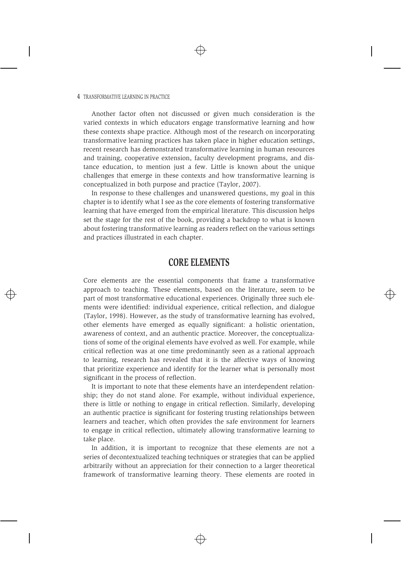Another factor often not discussed or given much consideration is the varied contexts in which educators engage transformative learning and how these contexts shape practice. Although most of the research on incorporating transformative learning practices has taken place in higher education settings, recent research has demonstrated transformative learning in human resources and training, cooperative extension, faculty development programs, and distance education, to mention just a few. Little is known about the unique challenges that emerge in these contexts and how transformative learning is conceptualized in both purpose and practice (Taylor, 2007).

In response to these challenges and unanswered questions, my goal in this chapter is to identify what I see as the core elements of fostering transformative learning that have emerged from the empirical literature. This discussion helps set the stage for the rest of the book, providing a backdrop to what is known about fostering transformative learning as readers reflect on the various settings and practices illustrated in each chapter.

## **CORE ELEMENTS**

Core elements are the essential components that frame a transformative approach to teaching. These elements, based on the literature, seem to be part of most transformative educational experiences. Originally three such elements were identified: individual experience, critical reflection, and dialogue (Taylor, 1998). However, as the study of transformative learning has evolved, other elements have emerged as equally significant: a holistic orientation, awareness of context, and an authentic practice. Moreover, the conceptualizations of some of the original elements have evolved as well. For example, while critical reflection was at one time predominantly seen as a rational approach to learning, research has revealed that it is the affective ways of knowing that prioritize experience and identify for the learner what is personally most significant in the process of reflection.

It is important to note that these elements have an interdependent relationship; they do not stand alone. For example, without individual experience, there is little or nothing to engage in critical reflection. Similarly, developing an authentic practice is significant for fostering trusting relationships between learners and teacher, which often provides the safe environment for learners to engage in critical reflection, ultimately allowing transformative learning to take place.

In addition, it is important to recognize that these elements are not a series of decontextualized teaching techniques or strategies that can be applied arbitrarily without an appreciation for their connection to a larger theoretical framework of transformative learning theory. These elements are rooted in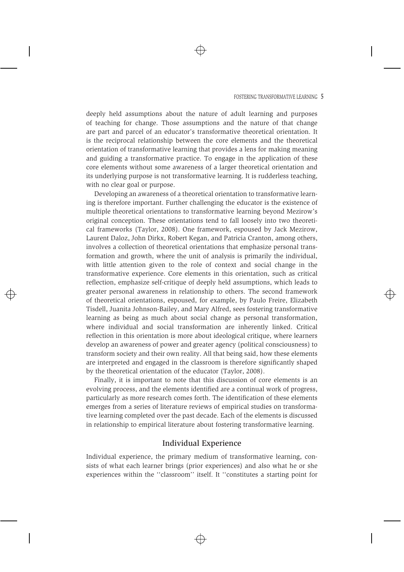deeply held assumptions about the nature of adult learning and purposes of teaching for change. Those assumptions and the nature of that change are part and parcel of an educator's transformative theoretical orientation. It is the reciprocal relationship between the core elements and the theoretical orientation of transformative learning that provides a lens for making meaning and guiding a transformative practice. To engage in the application of these core elements without some awareness of a larger theoretical orientation and its underlying purpose is not transformative learning. It is rudderless teaching, with no clear goal or purpose.

Developing an awareness of a theoretical orientation to transformative learning is therefore important. Further challenging the educator is the existence of multiple theoretical orientations to transformative learning beyond Mezirow's original conception. These orientations tend to fall loosely into two theoretical frameworks (Taylor, 2008). One framework, espoused by Jack Mezirow, Laurent Daloz, John Dirkx, Robert Kegan, and Patricia Cranton, among others, involves a collection of theoretical orientations that emphasize personal transformation and growth, where the unit of analysis is primarily the individual, with little attention given to the role of context and social change in the transformative experience. Core elements in this orientation, such as critical reflection, emphasize self-critique of deeply held assumptions, which leads to greater personal awareness in relationship to others. The second framework of theoretical orientations, espoused, for example, by Paulo Freire, Elizabeth Tisdell, Juanita Johnson-Bailey, and Mary Alfred, sees fostering transformative learning as being as much about social change as personal transformation, where individual and social transformation are inherently linked. Critical reflection in this orientation is more about ideological critique, where learners develop an awareness of power and greater agency (political consciousness) to transform society and their own reality. All that being said, how these elements are interpreted and engaged in the classroom is therefore significantly shaped by the theoretical orientation of the educator (Taylor, 2008).

Finally, it is important to note that this discussion of core elements is an evolving process, and the elements identified are a continual work of progress, particularly as more research comes forth. The identification of these elements emerges from a series of literature reviews of empirical studies on transformative learning completed over the past decade. Each of the elements is discussed in relationship to empirical literature about fostering transformative learning.

### Individual Experience

Individual experience, the primary medium of transformative learning, consists of what each learner brings (prior experiences) and also what he or she experiences within the ''classroom'' itself. It ''constitutes a starting point for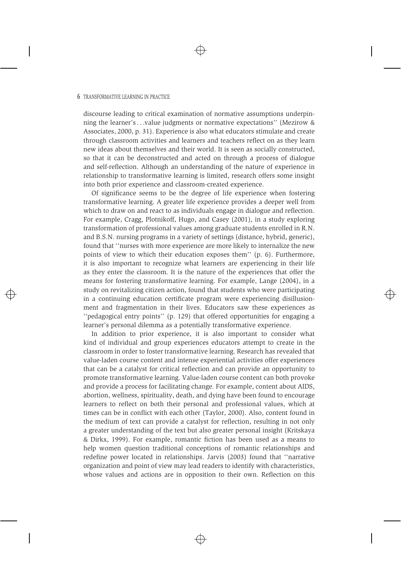discourse leading to critical examination of normative assumptions underpinning the learner's *...*value judgments or normative expectations'' (Mezirow & Associates, 2000, p. 31). Experience is also what educators stimulate and create through classroom activities and learners and teachers reflect on as they learn new ideas about themselves and their world. It is seen as socially constructed, so that it can be deconstructed and acted on through a process of dialogue and self-reflection. Although an understanding of the nature of experience in relationship to transformative learning is limited, research offers some insight into both prior experience and classroom-created experience.

Of significance seems to be the degree of life experience when fostering transformative learning. A greater life experience provides a deeper well from which to draw on and react to as individuals engage in dialogue and reflection. For example, Cragg, Plotnikoff, Hugo, and Casey (2001), in a study exploring transformation of professional values among graduate students enrolled in R.N. and B.S.N. nursing programs in a variety of settings (distance, hybrid, generic), found that ''nurses with more experience are more likely to internalize the new points of view to which their education exposes them'' (p. 6). Furthermore, it is also important to recognize what learners are experiencing in their life as they enter the classroom. It is the nature of the experiences that offer the means for fostering transformative learning. For example, Lange (2004), in a study on revitalizing citizen action, found that students who were participating in a continuing education certificate program were experiencing disillusionment and fragmentation in their lives. Educators saw these experiences as ''pedagogical entry points'' (p. 129) that offered opportunities for engaging a learner's personal dilemma as a potentially transformative experience.

In addition to prior experience, it is also important to consider what kind of individual and group experiences educators attempt to create in the classroom in order to foster transformative learning. Research has revealed that value-laden course content and intense experiential activities offer experiences that can be a catalyst for critical reflection and can provide an opportunity to promote transformative learning. Value-laden course content can both provoke and provide a process for facilitating change. For example, content about AIDS, abortion, wellness, spirituality, death, and dying have been found to encourage learners to reflect on both their personal and professional values, which at times can be in conflict with each other (Taylor, 2000). Also, content found in the medium of text can provide a catalyst for reflection, resulting in not only a greater understanding of the text but also greater personal insight (Kritskaya & Dirkx, 1999). For example, romantic fiction has been used as a means to help women question traditional conceptions of romantic relationships and redefine power located in relationships. Jarvis (2003) found that ''narrative organization and point of view may lead readers to identify with characteristics, whose values and actions are in opposition to their own. Reflection on this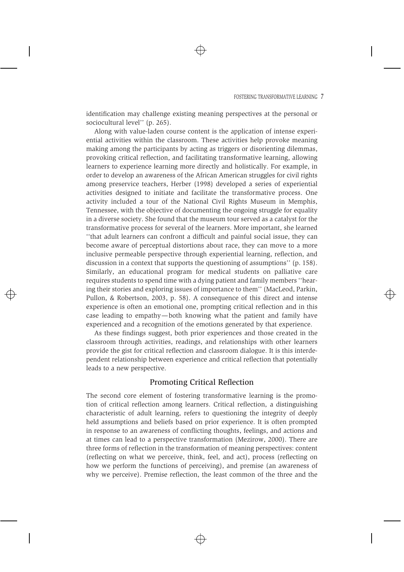identification may challenge existing meaning perspectives at the personal or sociocultural level'' (p. 265).

Along with value-laden course content is the application of intense experiential activities within the classroom. These activities help provoke meaning making among the participants by acting as triggers or disorienting dilemmas, provoking critical reflection, and facilitating transformative learning, allowing learners to experience learning more directly and holistically. For example, in order to develop an awareness of the African American struggles for civil rights among preservice teachers, Herber (1998) developed a series of experiential activities designed to initiate and facilitate the transformative process. One activity included a tour of the National Civil Rights Museum in Memphis, Tennessee, with the objective of documenting the ongoing struggle for equality in a diverse society. She found that the museum tour served as a catalyst for the transformative process for several of the learners. More important, she learned ''that adult learners can confront a difficult and painful social issue, they can become aware of perceptual distortions about race, they can move to a more inclusive permeable perspective through experiential learning, reflection, and discussion in a context that supports the questioning of assumptions'' (p. 158). Similarly, an educational program for medical students on palliative care requires students to spend time with a dying patient and family members ''hearing their stories and exploring issues of importance to them'' (MacLeod, Parkin, Pullon, & Robertson, 2003, p. 58). A consequence of this direct and intense experience is often an emotional one, prompting critical reflection and in this case leading to empathy—both knowing what the patient and family have experienced and a recognition of the emotions generated by that experience.

As these findings suggest, both prior experiences and those created in the classroom through activities, readings, and relationships with other learners provide the gist for critical reflection and classroom dialogue. It is this interdependent relationship between experience and critical reflection that potentially leads to a new perspective.

## Promoting Critical Reflection

The second core element of fostering transformative learning is the promotion of critical reflection among learners. Critical reflection, a distinguishing characteristic of adult learning, refers to questioning the integrity of deeply held assumptions and beliefs based on prior experience. It is often prompted in response to an awareness of conflicting thoughts, feelings, and actions and at times can lead to a perspective transformation (Mezirow, 2000). There are three forms of reflection in the transformation of meaning perspectives: content (reflecting on what we perceive, think, feel, and act), process (reflecting on how we perform the functions of perceiving), and premise (an awareness of why we perceive). Premise reflection, the least common of the three and the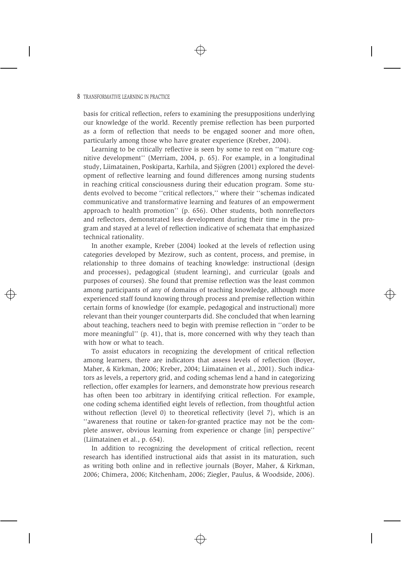basis for critical reflection, refers to examining the presuppositions underlying our knowledge of the world. Recently premise reflection has been purported as a form of reflection that needs to be engaged sooner and more often, particularly among those who have greater experience (Kreber, 2004).

Learning to be critically reflective is seen by some to rest on ''mature cognitive development'' (Merriam, 2004, p. 65). For example, in a longitudinal study, Liimatainen, Poskiparta, Karhila, and Sjögren (2001) explored the development of reflective learning and found differences among nursing students in reaching critical consciousness during their education program. Some students evolved to become ''critical reflectors,'' where their ''schemas indicated communicative and transformative learning and features of an empowerment approach to health promotion'' (p. 656). Other students, both nonreflectors and reflectors, demonstrated less development during their time in the program and stayed at a level of reflection indicative of schemata that emphasized technical rationality.

In another example, Kreber (2004) looked at the levels of reflection using categories developed by Mezirow, such as content, process, and premise, in relationship to three domains of teaching knowledge: instructional (design and processes), pedagogical (student learning), and curricular (goals and purposes of courses). She found that premise reflection was the least common among participants of any of domains of teaching knowledge, although more experienced staff found knowing through process and premise reflection within certain forms of knowledge (for example, pedagogical and instructional) more relevant than their younger counterparts did. She concluded that when learning about teaching, teachers need to begin with premise reflection in ''order to be more meaningful'' (p. 41), that is, more concerned with why they teach than with how or what to teach.

To assist educators in recognizing the development of critical reflection among learners, there are indicators that assess levels of reflection (Boyer, Maher, & Kirkman, 2006; Kreber, 2004; Liimatainen et al., 2001). Such indicators as levels, a repertory grid, and coding schemas lend a hand in categorizing reflection, offer examples for learners, and demonstrate how previous research has often been too arbitrary in identifying critical reflection. For example, one coding schema identified eight levels of reflection, from thoughtful action without reflection (level 0) to theoretical reflectivity (level 7), which is an ''awareness that routine or taken-for-granted practice may not be the complete answer, obvious learning from experience or change [in] perspective'' (Liimatainen et al., p. 654).

In addition to recognizing the development of critical reflection, recent research has identified instructional aids that assist in its maturation, such as writing both online and in reflective journals (Boyer, Maher, & Kirkman, 2006; Chimera, 2006; Kitchenham, 2006; Ziegler, Paulus, & Woodside, 2006).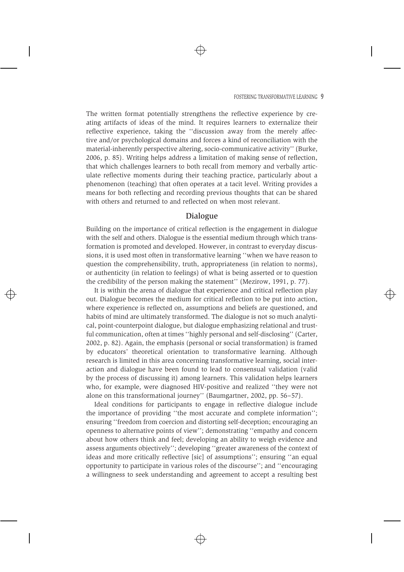The written format potentially strengthens the reflective experience by creating artifacts of ideas of the mind. It requires learners to externalize their reflective experience, taking the ''discussion away from the merely affective and/or psychological domains and forces a kind of reconciliation with the material-inherently perspective altering, socio-communicative activity'' (Burke, 2006, p. 85). Writing helps address a limitation of making sense of reflection, that which challenges learners to both recall from memory and verbally articulate reflective moments during their teaching practice, particularly about a phenomenon (teaching) that often operates at a tacit level. Writing provides a means for both reflecting and recording previous thoughts that can be shared with others and returned to and reflected on when most relevant.

## Dialogue

Building on the importance of critical reflection is the engagement in dialogue with the self and others. Dialogue is the essential medium through which transformation is promoted and developed. However, in contrast to everyday discussions, it is used most often in transformative learning ''when we have reason to question the comprehensibility, truth, appropriateness (in relation to norms), or authenticity (in relation to feelings) of what is being asserted or to question the credibility of the person making the statement'' (Mezirow, 1991, p. 77).

It is within the arena of dialogue that experience and critical reflection play out. Dialogue becomes the medium for critical reflection to be put into action, where experience is reflected on, assumptions and beliefs are questioned, and habits of mind are ultimately transformed. The dialogue is not so much analytical, point-counterpoint dialogue, but dialogue emphasizing relational and trustful communication, often at times ''highly personal and self-disclosing'' (Carter, 2002, p. 82). Again, the emphasis (personal or social transformation) is framed by educators' theoretical orientation to transformative learning. Although research is limited in this area concerning transformative learning, social interaction and dialogue have been found to lead to consensual validation (valid by the process of discussing it) among learners. This validation helps learners who, for example, were diagnosed HIV-positive and realized ''they were not alone on this transformational journey'' (Baumgartner, 2002, pp. 56–57).

Ideal conditions for participants to engage in reflective dialogue include the importance of providing ''the most accurate and complete information''; ensuring ''freedom from coercion and distorting self-deception; encouraging an openness to alternative points of view''; demonstrating ''empathy and concern about how others think and feel; developing an ability to weigh evidence and assess arguments objectively''; developing ''greater awareness of the context of ideas and more critically reflective [sic] of assumptions''; ensuring ''an equal opportunity to participate in various roles of the discourse''; and ''encouraging a willingness to seek understanding and agreement to accept a resulting best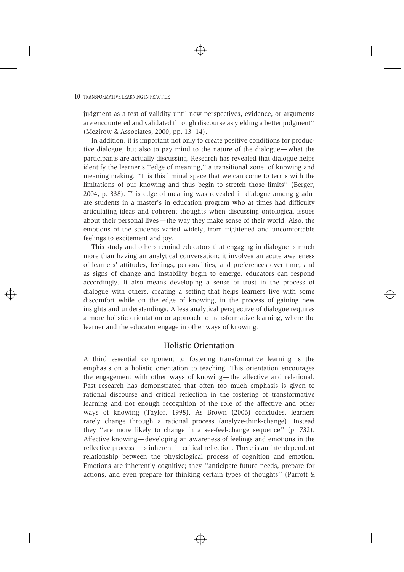judgment as a test of validity until new perspectives, evidence, or arguments are encountered and validated through discourse as yielding a better judgment'' (Mezirow & Associates, 2000, pp. 13–14).

In addition, it is important not only to create positive conditions for productive dialogue, but also to pay mind to the nature of the dialogue—what the participants are actually discussing. Research has revealed that dialogue helps identify the learner's ''edge of meaning,'' a transitional zone, of knowing and meaning making. ''It is this liminal space that we can come to terms with the limitations of our knowing and thus begin to stretch those limits'' (Berger, 2004, p. 338). This edge of meaning was revealed in dialogue among graduate students in a master's in education program who at times had difficulty articulating ideas and coherent thoughts when discussing ontological issues about their personal lives—the way they make sense of their world. Also, the emotions of the students varied widely, from frightened and uncomfortable feelings to excitement and joy.

This study and others remind educators that engaging in dialogue is much more than having an analytical conversation; it involves an acute awareness of learners' attitudes, feelings, personalities, and preferences over time, and as signs of change and instability begin to emerge, educators can respond accordingly. It also means developing a sense of trust in the process of dialogue with others, creating a setting that helps learners live with some discomfort while on the edge of knowing, in the process of gaining new insights and understandings. A less analytical perspective of dialogue requires a more holistic orientation or approach to transformative learning, where the learner and the educator engage in other ways of knowing.

## Holistic Orientation

A third essential component to fostering transformative learning is the emphasis on a holistic orientation to teaching. This orientation encourages the engagement with other ways of knowing—the affective and relational. Past research has demonstrated that often too much emphasis is given to rational discourse and critical reflection in the fostering of transformative learning and not enough recognition of the role of the affective and other ways of knowing (Taylor, 1998). As Brown (2006) concludes, learners rarely change through a rational process (analyze-think-change). Instead they ''are more likely to change in a see-feel-change sequence'' (p. 732). Affective knowing—developing an awareness of feelings and emotions in the reflective process—is inherent in critical reflection. There is an interdependent relationship between the physiological process of cognition and emotion. Emotions are inherently cognitive; they ''anticipate future needs, prepare for actions, and even prepare for thinking certain types of thoughts'' (Parrott &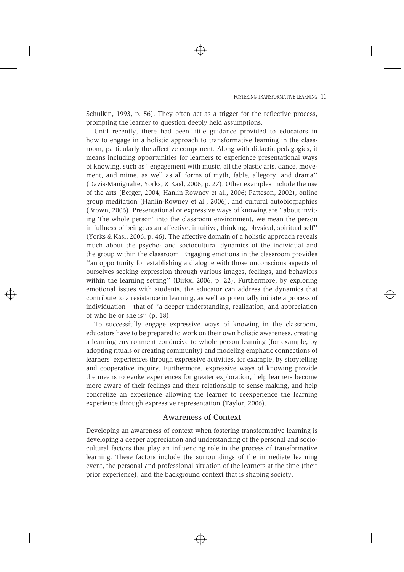Schulkin, 1993, p. 56). They often act as a trigger for the reflective process, prompting the learner to question deeply held assumptions.

Until recently, there had been little guidance provided to educators in how to engage in a holistic approach to transformative learning in the classroom, particularly the affective component. Along with didactic pedagogies, it means including opportunities for learners to experience presentational ways of knowing, such as ''engagement with music, all the plastic arts, dance, movement, and mime, as well as all forms of myth, fable, allegory, and drama'' (Davis-Manigualte, Yorks, & Kasl, 2006, p. 27). Other examples include the use of the arts (Berger, 2004; Hanlin-Rowney et al., 2006; Patteson, 2002), online group meditation (Hanlin-Rowney et al., 2006), and cultural autobiographies (Brown, 2006). Presentational or expressive ways of knowing are ''about inviting 'the whole person' into the classroom environment, we mean the person in fullness of being: as an affective, intuitive, thinking, physical, spiritual self'' (Yorks & Kasl, 2006, p. 46). The affective domain of a holistic approach reveals much about the psycho- and sociocultural dynamics of the individual and the group within the classroom. Engaging emotions in the classroom provides ''an opportunity for establishing a dialogue with those unconscious aspects of ourselves seeking expression through various images, feelings, and behaviors within the learning setting'' (Dirkx, 2006, p. 22). Furthermore, by exploring emotional issues with students, the educator can address the dynamics that contribute to a resistance in learning, as well as potentially initiate a process of individuation—that of ''a deeper understanding, realization, and appreciation of who he or she is'' (p. 18).

To successfully engage expressive ways of knowing in the classroom, educators have to be prepared to work on their own holistic awareness, creating a learning environment conducive to whole person learning (for example, by adopting rituals or creating community) and modeling emphatic connections of learners' experiences through expressive activities, for example, by storytelling and cooperative inquiry. Furthermore, expressive ways of knowing provide the means to evoke experiences for greater exploration, help learners become more aware of their feelings and their relationship to sense making, and help concretize an experience allowing the learner to reexperience the learning experience through expressive representation (Taylor, 2006).

### Awareness of Context

Developing an awareness of context when fostering transformative learning is developing a deeper appreciation and understanding of the personal and sociocultural factors that play an influencing role in the process of transformative learning. These factors include the surroundings of the immediate learning event, the personal and professional situation of the learners at the time (their prior experience), and the background context that is shaping society.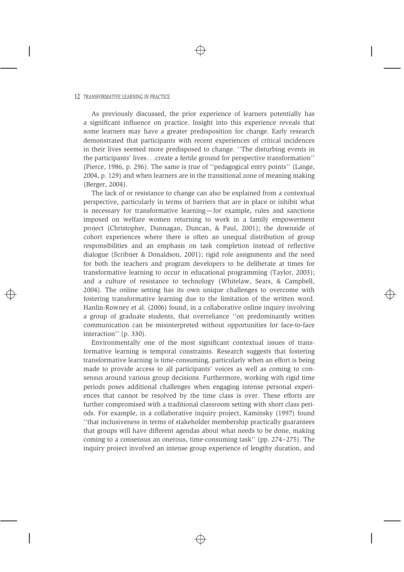As previously discussed, the prior experience of learners potentially has a significant influence on practice. Insight into this experience reveals that some learners may have a greater predisposition for change. Early research demonstrated that participants with recent experiences of critical incidences in their lives seemed more predisposed to change. ''The disturbing events in the participants' lives*...*create a fertile ground for perspective transformation'' (Pierce, 1986, p. 296). The same is true of ''pedagogical entry points'' (Lange, 2004, p. 129) and when learners are in the transitional zone of meaning making (Berger, 2004).

The lack of or resistance to change can also be explained from a contextual perspective, particularly in terms of barriers that are in place or inhibit what is necessary for transformative learning—for example, rules and sanctions imposed on welfare women returning to work in a family empowerment project (Christopher, Dunnagan, Duncan, & Paul, 2001); the downside of cohort experiences where there is often an unequal distribution of group responsibilities and an emphasis on task completion instead of reflective dialogue (Scribner & Donaldson, 2001); rigid role assignments and the need for both the teachers and program developers to be deliberate at times for transformative learning to occur in educational programming (Taylor, 2003); and a culture of resistance to technology (Whitelaw, Sears, & Campbell, 2004). The online setting has its own unique challenges to overcome with fostering transformative learning due to the limitation of the written word. Hanlin-Rowney et al. (2006) found, in a collaborative online inquiry involving a group of graduate students, that overreliance ''on predominantly written communication can be misinterpreted without opportunities for face-to-face interaction'' (p. 330).

Environmentally one of the most significant contextual issues of transformative learning is temporal constraints. Research suggests that fostering transformative learning is time-consuming, particularly when an effort is being made to provide access to all participants' voices as well as coming to consensus around various group decisions. Furthermore, working with rigid time periods poses additional challenges when engaging intense personal experiences that cannot be resolved by the time class is over. These efforts are further compromised with a traditional classroom setting with short class periods. For example, in a collaborative inquiry project, Kaminsky (1997) found ''that inclusiveness in terms of stakeholder membership practically guarantees that groups will have different agendas about what needs to be done, making coming to a consensus an onerous, time-consuming task'' (pp. 274–275). The inquiry project involved an intense group experience of lengthy duration, and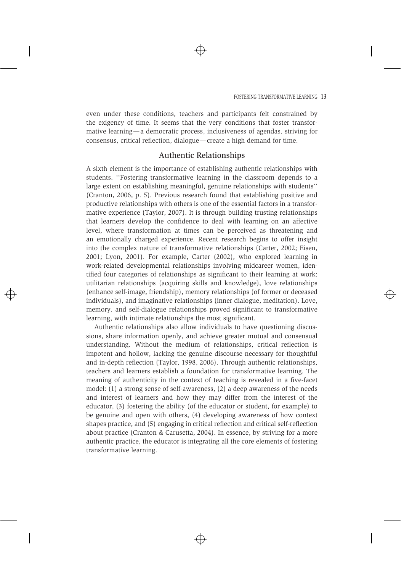even under these conditions, teachers and participants felt constrained by the exigency of time. It seems that the very conditions that foster transformative learning—a democratic process, inclusiveness of agendas, striving for consensus, critical reflection, dialogue—create a high demand for time.

### Authentic Relationships

A sixth element is the importance of establishing authentic relationships with students. ''Fostering transformative learning in the classroom depends to a large extent on establishing meaningful, genuine relationships with students'' (Cranton, 2006, p. 5). Previous research found that establishing positive and productive relationships with others is one of the essential factors in a transformative experience (Taylor, 2007). It is through building trusting relationships that learners develop the confidence to deal with learning on an affective level, where transformation at times can be perceived as threatening and an emotionally charged experience. Recent research begins to offer insight into the complex nature of transformative relationships (Carter, 2002; Eisen, 2001; Lyon, 2001). For example, Carter (2002), who explored learning in work-related developmental relationships involving midcareer women, identified four categories of relationships as significant to their learning at work: utilitarian relationships (acquiring skills and knowledge), love relationships (enhance self-image, friendship), memory relationships (of former or deceased individuals), and imaginative relationships (inner dialogue, meditation). Love, memory, and self-dialogue relationships proved significant to transformative learning, with intimate relationships the most significant.

Authentic relationships also allow individuals to have questioning discussions, share information openly, and achieve greater mutual and consensual understanding. Without the medium of relationships, critical reflection is impotent and hollow, lacking the genuine discourse necessary for thoughtful and in-depth reflection (Taylor, 1998, 2006). Through authentic relationships, teachers and learners establish a foundation for transformative learning. The meaning of authenticity in the context of teaching is revealed in a five-facet model: (1) a strong sense of self-awareness, (2) a deep awareness of the needs and interest of learners and how they may differ from the interest of the educator, (3) fostering the ability (of the educator or student, for example) to be genuine and open with others, (4) developing awareness of how context shapes practice, and (5) engaging in critical reflection and critical self-reflection about practice (Cranton & Carusetta, 2004). In essence, by striving for a more authentic practice, the educator is integrating all the core elements of fostering transformative learning.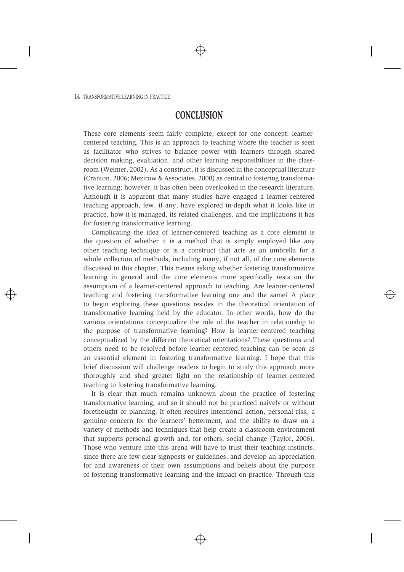# **CONCLUSION**

These core elements seem fairly complete, except for one concept: learnercentered teaching. This is an approach to teaching where the teacher is seen as facilitator who strives to balance power with learners through shared decision making, evaluation, and other learning responsibilities in the classroom (Weimer, 2002). As a construct, it is discussed in the conceptual literature (Cranton, 2006; Mezirow & Associates, 2000) as central to fostering transformative learning; however, it has often been overlooked in the research literature. Although it is apparent that many studies have engaged a learner-centered teaching approach, few, if any, have explored in-depth what it looks like in practice, how it is managed, its related challenges, and the implications it has for fostering transformative learning.

Complicating the idea of learner-centered teaching as a core element is the question of whether it is a method that is simply employed like any other teaching technique or is a construct that acts as an umbrella for a whole collection of methods, including many, if not all, of the core elements discussed in this chapter. This means asking whether fostering transformative learning in general and the core elements more specifically rests on the assumption of a learner-centered approach to teaching. Are learner-centered teaching and fostering transformative learning one and the same? A place to begin exploring these questions resides in the theoretical orientation of transformative learning held by the educator. In other words, how do the various orientations conceptualize the role of the teacher in relationship to the purpose of transformative learning? How is learner-centered teaching conceptualized by the different theoretical orientations? These questions and others need to be resolved before learner-centered teaching can be seen as an essential element in fostering transformative learning. I hope that this brief discussion will challenge readers to begin to study this approach more thoroughly and shed greater light on the relationship of learner-centered teaching to fostering transformative learning.

It is clear that much remains unknown about the practice of fostering transformative learning, and so it should not be practiced naively or without forethought or planning. It often requires intentional action, personal risk, a genuine concern for the learners' betterment, and the ability to draw on a variety of methods and techniques that help create a classroom environment that supports personal growth and, for others, social change (Taylor, 2006). Those who venture into this arena will have to trust their teaching instincts, since there are few clear signposts or guidelines, and develop an appreciation for and awareness of their own assumptions and beliefs about the purpose of fostering transformative learning and the impact on practice. Through this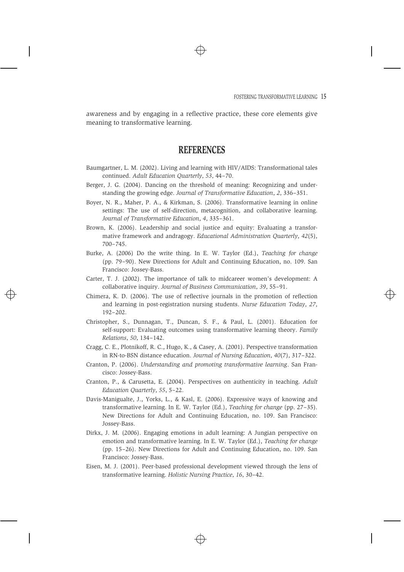awareness and by engaging in a reflective practice, these core elements give meaning to transformative learning.

# **REFERENCES**

- Baumgartner, L. M. (2002). Living and learning with HIV/AIDS: Transformational tales continued. *Adult Education Quarterly*, *53*, 44–70.
- Berger, J. G. (2004). Dancing on the threshold of meaning: Recognizing and understanding the growing edge. *Journal of Transformative Education*, *2*, 336–351.
- Boyer, N. R., Maher, P. A., & Kirkman, S. (2006). Transformative learning in online settings: The use of self-direction, metacognition, and collaborative learning. *Journal of Transformative Education*, *4*, 335–361.
- Brown, K. (2006). Leadership and social justice and equity: Evaluating a transformative framework and andragogy. *Educational Administration Quarterly*, *42*(5), 700–745.
- Burke, A. (2006) Do the write thing. In E. W. Taylor (Ed.), *Teaching for change* (pp. 79–90). New Directions for Adult and Continuing Education, no. 109. San Francisco: Jossey-Bass.
- Carter, T. J. (2002). The importance of talk to midcareer women's development: A collaborative inquiry. *Journal of Business Communication*, *39*, 55–91.
- Chimera, K. D. (2006). The use of reflective journals in the promotion of reflection and learning in post-registration nursing students. *Nurse Education Today*, *27*, 192–202.
- Christopher, S., Dunnagan, T., Duncan, S. F., & Paul, L. (2001). Education for self-support: Evaluating outcomes using transformative learning theory. *Family Relations*, *50*, 134–142.
- Cragg, C. E., Plotnikoff, R. C., Hugo, K., & Casey, A. (2001). Perspective transformation in RN-to-BSN distance education. *Journal of Nursing Education*, *40*(7), 317–322.
- Cranton, P. (2006). *Understanding and promoting transformative learning*. San Francisco: Jossey-Bass.
- Cranton, P., & Carusetta, E. (2004). Perspectives on authenticity in teaching. *Adult Education Quarterly*, *55*, 5–22.
- Davis-Manigualte, J., Yorks, L., & Kasl, E. (2006). Expressive ways of knowing and transformative learning. In E. W. Taylor (Ed.), *Teaching for change* (pp. 27–35). New Directions for Adult and Continuing Education, no. 109. San Francisco: Jossey-Bass.
- Dirkx, J. M. (2006). Engaging emotions in adult learning: A Jungian perspective on emotion and transformative learning. In E. W. Taylor (Ed.), *Teaching for change* (pp. 15–26). New Directions for Adult and Continuing Education, no. 109. San Francisco: Jossey-Bass.
- Eisen, M. J. (2001). Peer-based professional development viewed through the lens of transformative learning. *Holistic Nursing Practice*, *16*, 30–42.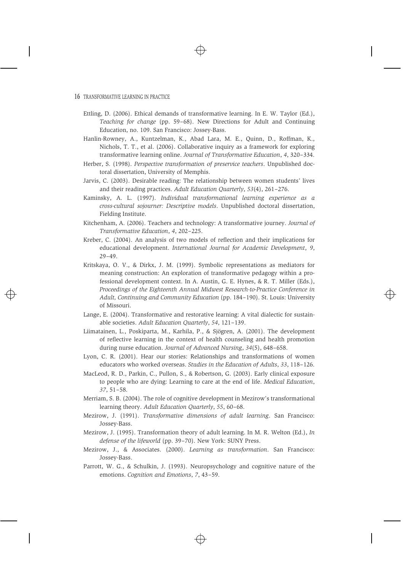- Ettling, D. (2006). Ethical demands of transformative learning. In E. W. Taylor (Ed.), *Teaching for change* (pp. 59–68). New Directions for Adult and Continuing Education, no. 109. San Francisco: Jossey-Bass.
- Hanlin-Rowney, A., Kuntzelman, K., Abad Lara, M. E., Quinn, D., Roffman, K., Nichols, T. T., et al. (2006). Collaborative inquiry as a framework for exploring transformative learning online. *Journal of Transformative Education*, *4*, 320–334.
- Herber, S. (1998). *Perspective transformation of preservice teachers*. Unpublished doctoral dissertation, University of Memphis.
- Jarvis, C. (2003). Desirable reading: The relationship between women students' lives and their reading practices. *Adult Education Quarterly*, *53*(4), 261–276.
- Kaminsky, A. L. (1997). *Individual transformational learning experience as a cross-cultural sojourner: Descriptive models*. Unpublished doctoral dissertation, Fielding Institute.
- Kitchenham, A. (2006). Teachers and technology: A transformative journey. *Journal of Transformative Education*, *4*, 202–225.
- Kreber, C. (2004). An analysis of two models of reflection and their implications for educational development. *International Journal for Academic Development*, *9*, 29–49.
- Kritskaya, O. V., & Dirkx, J. M. (1999). Symbolic representations as mediators for meaning construction: An exploration of transformative pedagogy within a professional development context. In A. Austin, G. E. Hynes, & R. T. Miller (Eds.), *Proceedings of the Eighteenth Annual Midwest Research-to-Practice Conference in Adult, Continuing and Community Education* (pp. 184–190). St. Louis: University of Missouri.
- Lange, E. (2004). Transformative and restorative learning: A vital dialectic for sustainable societies. *Adult Education Quarterly*, *54*, 121–139.
- Liimatainen, L., Poskiparta, M., Karhila, P., & Sjögren, A. (2001). The development of reflective learning in the context of health counseling and health promotion during nurse education. *Journal of Advanced Nursing*, *34*(5), 648–658.
- Lyon, C. R. (2001). Hear our stories: Relationships and transformations of women educators who worked overseas. *Studies in the Education of Adults*, *33*, 118–126.
- MacLeod, R. D., Parkin, C., Pullon, S., & Robertson, G. (2003). Early clinical exposure to people who are dying: Learning to care at the end of life. *Medical Education*, *37*, 51–58.
- Merriam, S. B. (2004). The role of cognitive development in Mezirow's transformational learning theory. *Adult Education Quarterly*, *55*, 60–68.
- Mezirow, J. (1991). *Transformative dimensions of adult learning*. San Francisco: Jossey-Bass.
- Mezirow, J. (1995). Transformation theory of adult learning. In M. R. Welton (Ed.), *In defense of the lifeworld* (pp. 39–70). New York: SUNY Press.
- Mezirow, J., & Associates. (2000). *Learning as transformation*. San Francisco: Jossey-Bass.
- Parrott, W. G., & Schulkin, J. (1993). Neuropsychology and cognitive nature of the emotions. *Cognition and Emotions*, *7*, 43–59.